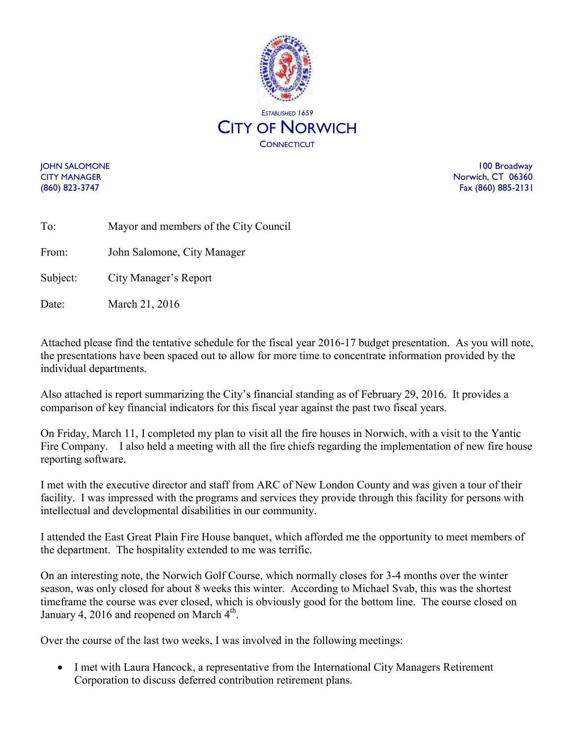

Date: March 21, 2016

JOHN SALOMONE 100 Broadway CITY MANAGER Norwich, CT 06360 (860) 823-3747 Fax (860) 885-2131

| To:      | Mayor and members of the City Council |
|----------|---------------------------------------|
| From:    | John Salomone, City Manager           |
| Subject: | City Manager's Report                 |

Attached please find the tentative schedule for the fiscal year 2016-17 budget presentation. As you will note, the presentations have been spaced out to allow for more time to concentrate information provided by the individual departments.

Also attached is report summarizing the City's financial standing as of February 29, 2016. It provides a comparison of key financial indicators for this fiscal year against the past two fiscal years.

On Friday, March 11, I completed my plan to visit all the fire houses in Norwich, with a visit to the Yantic Fire Company. I also held a meeting with all the fire chiefs regarding the implementation of new fire house reporting software.

I met with the executive director and staff from ARC of New London County and was given a tour of their facility. I was impressed with the programs and services they provide through this facility for persons with intellectual and developmental disabilities in our community.

I attended the East Great Plain Fire House banquet, which afforded me the opportunity to meet members of the department. The hospitality extended to me was terrific.

On an interesting note, the Norwich Golf Course, which normally closes for 3-4 months over the winter season, was only closed for about 8 weeks this winter. According to Michael Svab, this was the shortest timeframe the course was ever closed, which is obviously good for the bottom line. The course closed on January 4, 2016 and reopened on March 4<sup>th</sup>.

Over the course of the last two weeks, I was involved in the following meetings:

• I met with Laura Hancock, a representative from the International City Managers Retirement Corporation to discuss deferred contribution retirement plans.